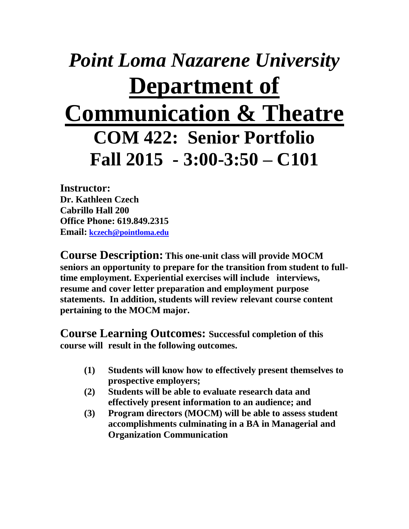## *Point Loma Nazarene University* **Department of Communication & Theatre COM 422: Senior Portfolio Fall 2015 - 3:00-3:50 – C101**

**Instructor: Dr. Kathleen Czech Cabrillo Hall 200 Office Phone: 619.849.2315 Email: [kczech@pointloma.edu](mailto:kczech@pointloma.edu)**

**Course Description: This one-unit class will provide MOCM seniors an opportunity to prepare for the transition from student to fulltime employment. Experiential exercises will include interviews, resume and cover letter preparation and employment purpose statements. In addition, students will review relevant course content pertaining to the MOCM major.**

**Course Learning Outcomes: Successful completion of this course will result in the following outcomes.**

- **(1) Students will know how to effectively present themselves to prospective employers;**
- **(2) Students will be able to evaluate research data and effectively present information to an audience; and**
- **(3) Program directors (MOCM) will be able to assess student accomplishments culminating in a BA in Managerial and Organization Communication**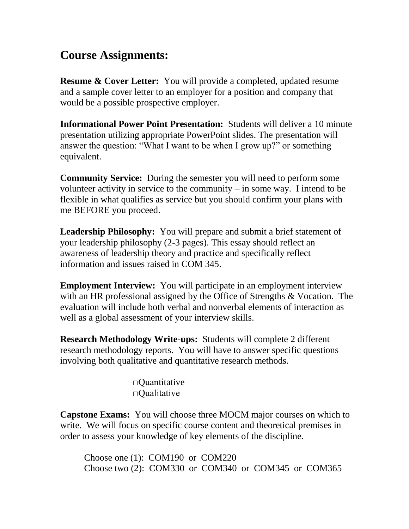## **Course Assignments:**

**Resume & Cover Letter:** You will provide a completed, updated resume and a sample cover letter to an employer for a position and company that would be a possible prospective employer.

**Informational Power Point Presentation:** Students will deliver a 10 minute presentation utilizing appropriate PowerPoint slides. The presentation will answer the question: "What I want to be when I grow up?" or something equivalent.

**Community Service:** During the semester you will need to perform some volunteer activity in service to the community – in some way. I intend to be flexible in what qualifies as service but you should confirm your plans with me BEFORE you proceed.

**Leadership Philosophy:** You will prepare and submit a brief statement of your leadership philosophy (2-3 pages). This essay should reflect an awareness of leadership theory and practice and specifically reflect information and issues raised in COM 345.

**Employment Interview:** You will participate in an employment interview with an HR professional assigned by the Office of Strengths & Vocation. The evaluation will include both verbal and nonverbal elements of interaction as well as a global assessment of your interview skills.

**Research Methodology Write-ups:** Students will complete 2 different research methodology reports. You will have to answer specific questions involving both qualitative and quantitative research methods.

> □Quantitative  $\Box$ Qualitative

**Capstone Exams:** You will choose three MOCM major courses on which to write. We will focus on specific course content and theoretical premises in order to assess your knowledge of key elements of the discipline.

Choose one (1): COM190 or COM220 Choose two (2): COM330 or COM340 or COM345 or COM365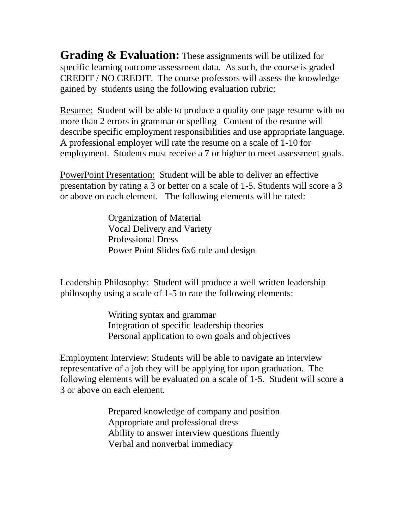**Grading & Evaluation:** These assignments will be utilized for specific learning outcome assessment data. As such, the course is graded CREDIT / NO CREDIT. The course professors will assess the knowledge gained by students using the following evaluation rubric:

Resume: Student will be able to produce a quality one page resume with no more than 2 errors in grammar or spelling Content of the resume will describe specific employment responsibilities and use appropriate language. A professional employer will rate the resume on a scale of 1-10 for employment. Students must receive a 7 or higher to meet assessment goals.

PowerPoint Presentation: Student will be able to deliver an effective presentation by rating a 3 or better on a scale of 1-5. Students will score a 3 or above on each element. The following elements will be rated:

> Organization of Material Vocal Delivery and Variety Professional Dress Power Point Slides 6x6 rule and design

Leadership Philosophy: Student will produce a well written leadership philosophy using a scale of 1-5 to rate the following elements:

> Writing syntax and grammar Integration of specific leadership theories Personal application to own goals and objectives

Employment Interview: Students will be able to navigate an interview representative of a job they will be applying for upon graduation. The following elements will be evaluated on a scale of 1-5. Student will score a 3 or above on each element.

> Prepared knowledge of company and position Appropriate and professional dress Ability to answer interview questions fluently Verbal and nonverbal immediacy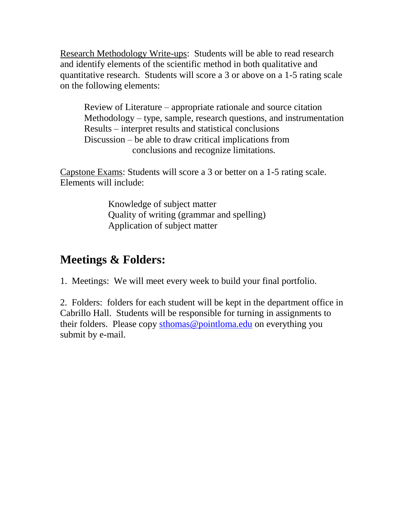Research Methodology Write-ups: Students will be able to read research and identify elements of the scientific method in both qualitative and quantitative research. Students will score a 3 or above on a 1-5 rating scale on the following elements:

Review of Literature – appropriate rationale and source citation Methodology – type, sample, research questions, and instrumentation Results – interpret results and statistical conclusions Discussion – be able to draw critical implications from conclusions and recognize limitations.

Capstone Exams: Students will score a 3 or better on a 1-5 rating scale. Elements will include:

> Knowledge of subject matter Quality of writing (grammar and spelling) Application of subject matter

## **Meetings & Folders:**

1. Meetings: We will meet every week to build your final portfolio.

2. Folders: folders for each student will be kept in the department office in Cabrillo Hall. Students will be responsible for turning in assignments to their folders. Please copy [sthomas@pointloma.edu](mailto:sthomas@pointloma.edu) on everything you submit by e-mail.